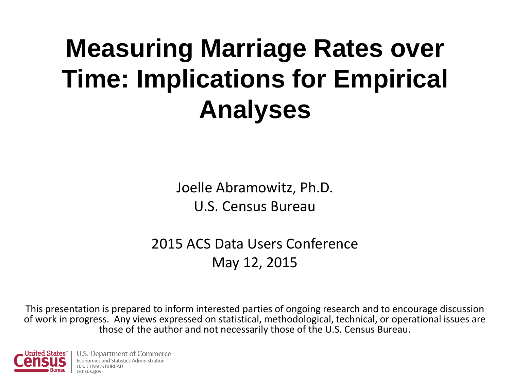### **Measuring Marriage Rates over Time: Implications for Empirical Analyses**

Joelle Abramowitz, Ph.D. U.S. Census Bureau

2015 ACS Data Users Conference May 12, 2015

This presentation is prepared to inform interested parties of ongoing research and to encourage discussion of work in progress. Any views expressed on statistical, methodological, technical, or operational issues are those of the author and not necessarily those of the U.S. Census Bureau.

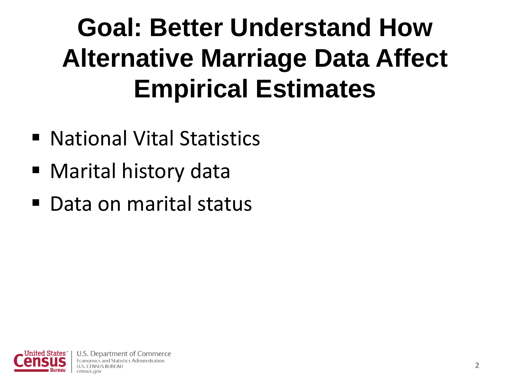### **Goal: Better Understand How Alternative Marriage Data Affect Empirical Estimates**

- National Vital Statistics
- Marital history data
- Data on marital status

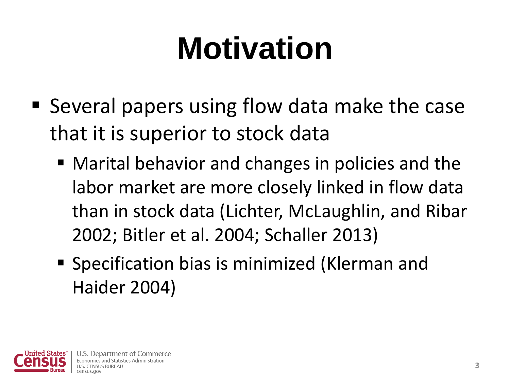# **Motivation**

- Several papers using flow data make the case that it is superior to stock data
	- Marital behavior and changes in policies and the labor market are more closely linked in flow data than in stock data (Lichter, McLaughlin, and Ribar 2002; Bitler et al. 2004; Schaller 2013)
	- Specification bias is minimized (Klerman and Haider 2004)

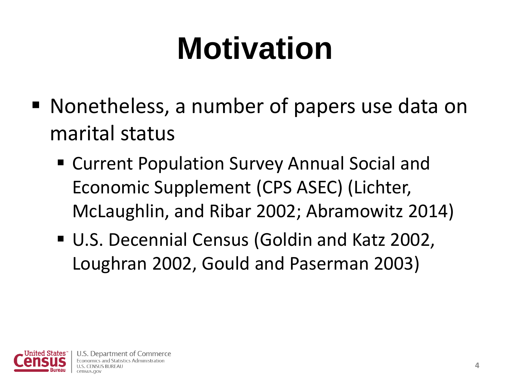# **Motivation**

- Nonetheless, a number of papers use data on marital status
	- Current Population Survey Annual Social and Economic Supplement (CPS ASEC) (Lichter, McLaughlin, and Ribar 2002; Abramowitz 2014)
	- U.S. Decennial Census (Goldin and Katz 2002, Loughran 2002, Gould and Paserman 2003)

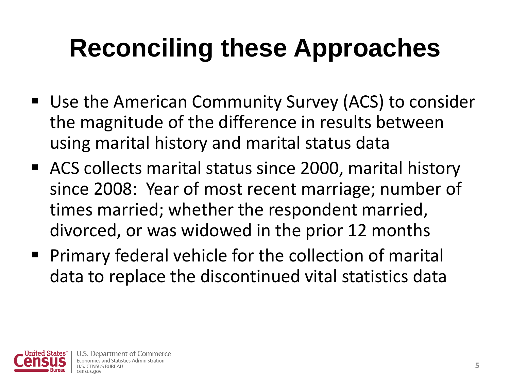## **Reconciling these Approaches**

- Use the American Community Survey (ACS) to consider the magnitude of the difference in results between using marital history and marital status data
- ACS collects marital status since 2000, marital history since 2008: Year of most recent marriage; number of times married; whether the respondent married, divorced, or was widowed in the prior 12 months
- **Primary federal vehicle for the collection of marital** data to replace the discontinued vital statistics data

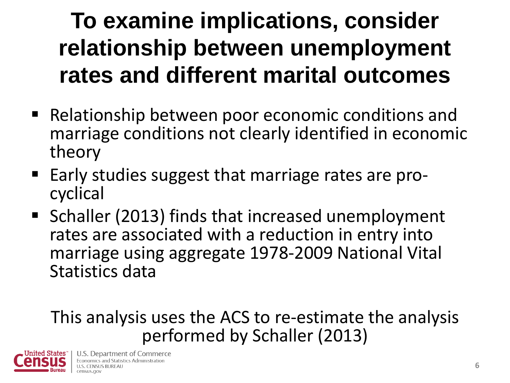#### **To examine implications, consider relationship between unemployment rates and different marital outcomes**

- Relationship between poor economic conditions and marriage conditions not clearly identified in economic theory
- Early studies suggest that marriage rates are procyclical
- Schaller (2013) finds that increased unemployment rates are associated with a reduction in entry into marriage using aggregate 1978-2009 National Vital Statistics data

#### This analysis uses the ACS to re-estimate the analysis performed by Schaller (2013)

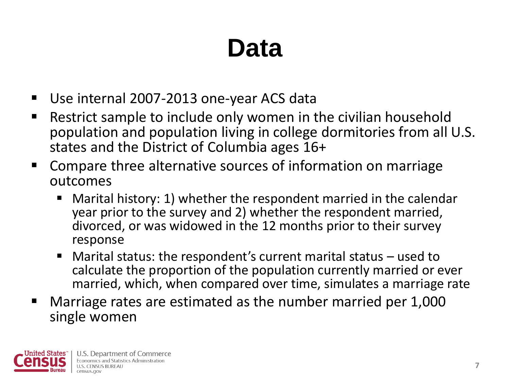### **Data**

- Use internal 2007-2013 one-year ACS data
- Restrict sample to include only women in the civilian household population and population living in college dormitories from all U.S. states and the District of Columbia ages 16+
- Compare three alternative sources of information on marriage outcomes
	- Marital history: 1) whether the respondent married in the calendar year prior to the survey and 2) whether the respondent married, divorced, or was widowed in the 12 months prior to their survey response
	- Marital status: the respondent's current marital status used to calculate the proportion of the population currently married or ever married, which, when compared over time, simulates a marriage rate
- Marriage rates are estimated as the number married per 1,000 single women

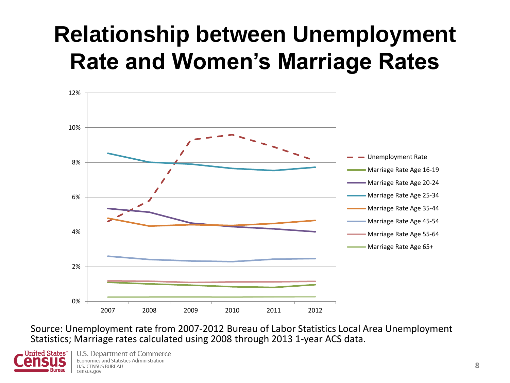#### **Relationship between Unemployment Rate and Women's Marriage Rates**



Source: Unemployment rate from 2007-2012 Bureau of Labor Statistics Local Area Unemployment Statistics; Marriage rates calculated using 2008 through 2013 1-year ACS data.



U.S. Department of Commerce Economics and Statistics Administration **U.S. CENSUS BUREAU** census.gov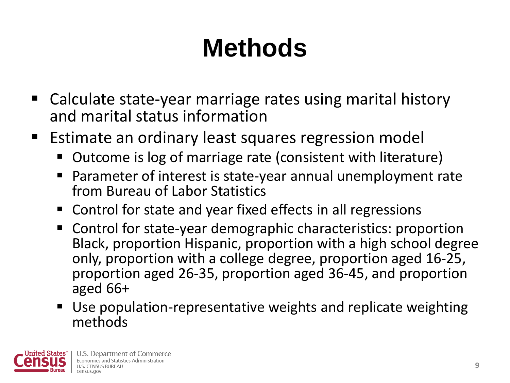## **Methods**

- Calculate state-year marriage rates using marital history and marital status information
- Estimate an ordinary least squares regression model
	- Outcome is log of marriage rate (consistent with literature)
	- Parameter of interest is state-year annual unemployment rate from Bureau of Labor Statistics
	- Control for state and year fixed effects in all regressions
	- Control for state-year demographic characteristics: proportion Black, proportion Hispanic, proportion with a high school degree only, proportion with a college degree, proportion aged 16-25, proportion aged 26-35, proportion aged 36-45, and proportion aged 66+
	- Use population-representative weights and replicate weighting methods

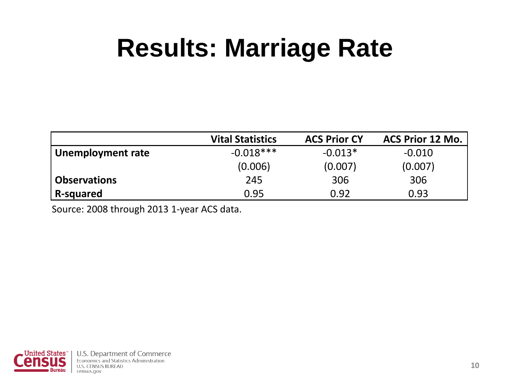### **Results: Marriage Rate**

|                     | <b>Vital Statistics</b> | <b>ACS Prior CY</b> | <b>ACS Prior 12 Mo.</b> |
|---------------------|-------------------------|---------------------|-------------------------|
| Unemployment rate   | $-0.018***$             | $-0.013*$           | $-0.010$                |
|                     | (0.006)                 | (0.007)             | (0.007)                 |
| <b>Observations</b> | 245                     | 306                 | 306                     |
| R-squared           | 0.95                    | 0.92                | 0.93                    |

Source: 2008 through 2013 1-year ACS data.

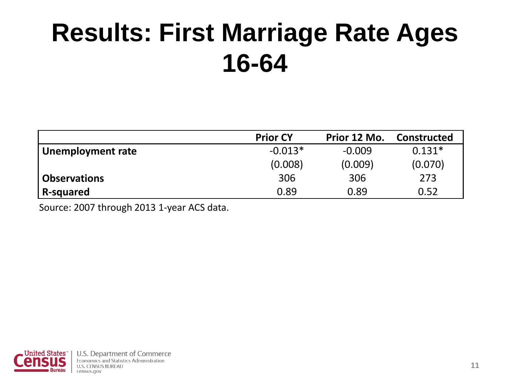### **Results: First Marriage Rate Ages 16-64**

|                     | <b>Prior CY</b> | Prior 12 Mo. | Constructed |
|---------------------|-----------------|--------------|-------------|
| Unemployment rate   | $-0.013*$       | $-0.009$     | $0.131*$    |
|                     | (0.008)         | (0.009)      | (0.070)     |
| <b>Observations</b> | 306             | 306          | 273         |
| R-squared           | 0.89            | 0.89         | 0.52        |

Source: 2007 through 2013 1-year ACS data.

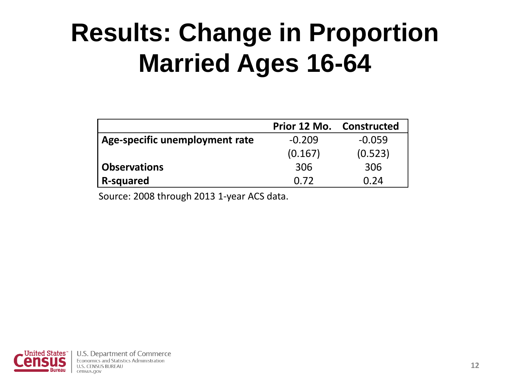### **Results: Change in Proportion Married Ages 16-64**

|                                | Prior 12 Mo. | Constructed |
|--------------------------------|--------------|-------------|
| Age-specific unemployment rate | $-0.209$     | $-0.059$    |
|                                | (0.167)      | (0.523)     |
| <b>Observations</b>            | 306          | 306         |
| R-squared                      | 0.72         | 0.24        |

Source: 2008 through 2013 1-year ACS data.

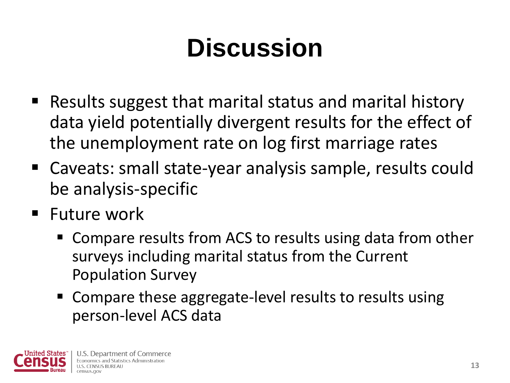### **Discussion**

- Results suggest that marital status and marital history data yield potentially divergent results for the effect of the unemployment rate on log first marriage rates
- Caveats: small state-year analysis sample, results could be analysis-specific
- $\blacksquare$  Future work
	- Compare results from ACS to results using data from other surveys including marital status from the Current Population Survey
	- Compare these aggregate-level results to results using person-level ACS data